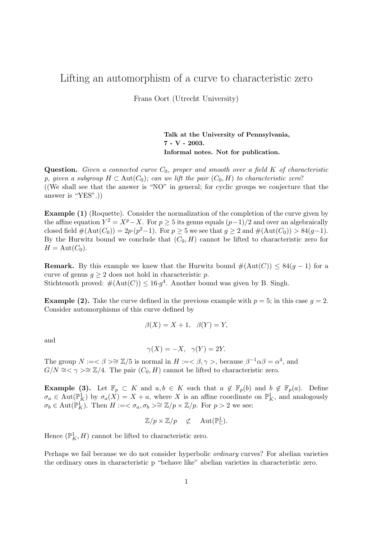## Lifting an automorphism of a curve to characteristic zero

Frans Oort (Utrecht University)

**Talk at the University of Pennsylvania, 7 - V - 2003. Informal notes. Not for publication.**

**Question.** *Given a connected curve*  $C_0$ *, proper and smooth over a field* K *of characteristic p, given a subgroup*  $H \subset \text{Aut}(C_0)$ ; can we lift the pair  $(C_0, H)$  to characteristic zero? ((We shall see that the answer is "NO" in general; for cyclic groups we conjecture that the answer is "YES".))

**Example (1)** (Roquette). Consider the normalization of the completion of the curve given by the affine equation  $Y^2 = X^p - X$ . For  $p > 5$  its genus equals  $(p-1)/2$  and over an algebraically closed field  $\#(\text{Aut}(C_0)) = 2p \cdot (p^2-1)$ . For  $p \ge 5$  we see that  $g \ge 2$  and  $\#(\text{Aut}(C_0)) > 84(g-1)$ . By the Hurwitz bound we conclude that  $(C_0, H)$  cannot be lifted to characteristic zero for  $H = \text{Aut}(C_0).$ 

**Remark.** By this example we knew that the Hurwitz bound  $\#(\text{Aut}(C)) \leq 84(g-1)$  for a curve of genus  $g \geq 2$  does not hold in characteristic p. Stichtenoth proved:  $\#(\text{Aut}(C)) \leq 16 \cdot g^4$ . Another bound was given by B. Singh.

**Example (2).** Take the curve defined in the previous example with  $p = 5$ ; in this case  $q = 2$ . Consider automorphisms of this curve defined by

$$
\beta(X) = X + 1, \ \beta(Y) = Y,
$$

and

$$
\gamma(X) = -X, \ \ \gamma(Y) = 2Y.
$$

The group  $N := \langle \beta \rangle \cong \mathbb{Z}/5$  is normal in  $H := \langle \beta, \gamma \rangle$ , because  $\beta^{-1} \alpha \beta = \alpha^4$ , and  $G/N \cong \langle \gamma \rangle \cong \mathbb{Z}/4$ . The pair  $(C_0, H)$  cannot be lifted to characteristic zero.

**Example (3).** Let  $\mathbb{F}_p \subset K$  and  $a, b \in K$  such that  $a \notin \mathbb{F}_p(b)$  and  $b \notin \mathbb{F}_p(a)$ . Define  $\sigma_a \in \text{Aut}(\mathbb{P}^1_K)$  by  $\sigma_a(X) = X + a$ , where X is an affine coordinate on  $\mathbb{P}^1_K$ , and analogously  $\sigma_a \subset \text{Aut}(\mathbb{P}^1)$ . Then  $H := \{ \sigma_a \in \mathbb{P} \mid a \times \mathbb{Z}/a \}$  For  $a > 2$  we see:  $\sigma_b \in \text{Aut}(\mathbb{P}_K^1)$ . Then  $H := \langle \sigma_a, \sigma_b \rangle \cong \mathbb{Z}/p \times \mathbb{Z}/p$ . For  $p > 2$  we see:

$$
\mathbb{Z}/p \times \mathbb{Z}/p \quad \not\subset \quad \text{Aut}(\mathbb{P}_{\mathbb{C}}^1).
$$

Hence  $(\mathbb{P}^1_K, H)$  cannot be lifted to characteristic zero.

Perhaps we fail because we do not consider hyperbolic *ordinary* curves? For abelian varieties the ordinary ones in characteristic p "behave like" abelian varieties in characteristic zero.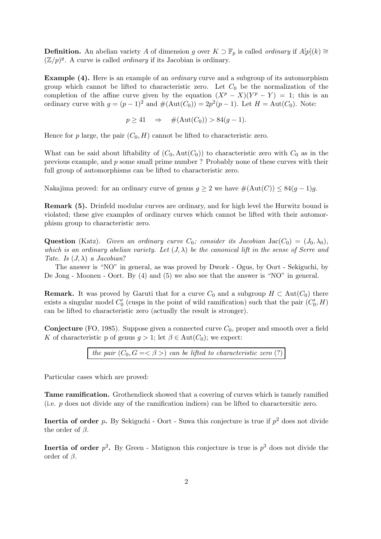**Definition.** An abelian variety A of dimension g over  $K \supset F_p$  is called *ordinary* if  $A[p](k) \cong$  $(\mathbb{Z}/p)^g$ . A curve is called *ordinary* if its Jacobian is ordinary.

**Example (4).** Here is an example of an *ordinary* curve and a subgroup of its automorphism group which cannot be lifted to characteristic zero. Let  $C_0$  be the normalization of the completion of the affine curve given by the equation  $(X^p - X)(Y^p - Y) = 1$ ; this is an ordinary curve with  $q = (p - 1)^2$  and  $\#(\text{Aut}(C_0)) = 2p^2(p - 1)$ . Let  $H = \text{Aut}(C_0)$ . Note:

$$
p \ge 41 \quad \Rightarrow \quad \#(\text{Aut}(C_0)) > 84(g-1).
$$

Hence for p large, the pair  $(C_0, H)$  cannot be lifted to characteristic zero.

What can be said about liftability of  $(C_0, \text{Aut}(C_0))$  to characteristic zero with  $C_0$  as in the previous example, and p some small prime number ? Probably none of these curves with their full group of automorphisms can be lifted to characteristic zero.

Nakajima proved: for an ordinary curve of genus  $g \geq 2$  we have  $\#(\text{Aut}(C)) \leq 84(g-1)g$ .

**Remark (5).** Drinfeld modular curves are ordinary, and for high level the Hurwitz bound is violated; these give examples of ordinary curves which cannot be lifted with their automorphism group to characteristic zero.

**Question** (Katz). *Given an ordinary curve*  $C_0$ *; consider its Jacobian* Jac( $C_0$ ) = (J<sub>0</sub>,  $\lambda_0$ )*, which is an ordinary abelian variety. Let* (J, λ) *be the canonical lift in the sense of Serre and Tate. Is* (J, λ) *a Jacobian*?

The answer is "NO" in general, as was proved by Dwork - Ogus, by Oort - Sekiguchi, by De Jong - Moonen - Oort. By (4) and (5) we also see that the answer is "NO" in general.

**Remark.** It was proved by Garuti that for a curve  $C_0$  and a subgroup  $H \subset Aut(C_0)$  there exists a singular model  $C'_0$  (cusps in the point of wild ramification) such that the pair  $(C'_0, H)$ <br>can be lifted to characteristic gare (actually the result is strenger) can be lifted to characteristic zero (actually the result is stronger).

**Conjecture** (FO, 1985). Suppose given a connected curve  $C_0$ , proper and smooth over a field K of characteristic p of genus  $g > 1$ ; let  $\beta \in Aut(C_0)$ ; we expect:

*the pair*  $(C_0, G = \langle \beta \rangle)$  *can be lifted to characteristic zero* (?)

Particular cases which are proved:

**Tame ramification.** Grothendieck showed that a covering of curves which is tamely ramified (i.e. p does not divide any of the ramification indices) can be lifted to charactersitic zero.

**Inertia of order** p. By Sekiguchi - Oort - Suwa this conjecture is true if  $p^2$  does not divide the order of  $\beta$ .

**Inertia of order**  $p^2$ . By Green - Matignon this conjecture is true is  $p^3$  does not divide the order of  $\beta$ .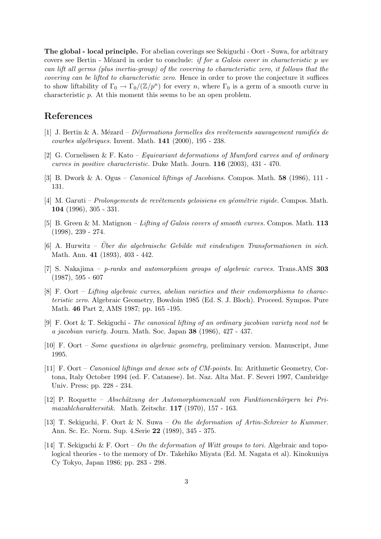**The global - local principle.** For abelian coverings see Sekiguchi - Oort - Suwa, for arbitrary covers see Bertin - M´ezard in order to conclude: *if for a Galois cover in characteristic* p *we can lift all germs (plus inertia-group) of the covering to characteristic zero, it follows that the covering can be lifted to characteristic zero*. Hence in order to prove the conjecture it suffices to show liftability of  $\Gamma_0 \to \Gamma_0/(\mathbb{Z}/p^n)$  for every n, where  $\Gamma_0$  is a germ of a smooth curve in characteristic p. At this moment this seems to be an open problem.

## **References**

- [1] J. Bertin & A. Mézard *Déformations formelles des revêtements sauvagement ramifiés de courbes alg´ebriques.* Invent. Math. **141** (2000), 195 - 238.
- [2] G. Cornelissen & F. Kato *Equivariant deformations of Mumford curves and of ordinary curves in positive characteristic.* Duke Math. Journ. **116** (2003), 431 - 470.
- [3] B. Dwork & A. Ogus *Canonical liftings of Jacobians.* Compos. Math. **58** (1986), 111 131.
- [4] M. Garuti *Prolongements de revˆetements geloisiens en g´eom´etrie rigide.* Compos. Math. **104** (1996), 305 - 331.
- [5] B. Green & M. Matignon *Lifting of Galois covers of smooth curves.* Compos. Math. **113** (1998), 239 - 274.
- [6] A. Hurwitz *Uber die algebraische Gebilde mit eindeutigen Transformationen in sich. ¨* Math. Ann. **41** (1893), 403 - 442.
- [7] S. Nakajima *p-ranks and automorphism groups of algebraic curves.* Trans.AMS **303** (1987), 595 - 607
- [8] F. Oort *Lifting algebraic curves, abelian varieties and their endomorphisms to characteristic zero.* Algebraic Geometry, Bowdoin 1985 (Ed. S. J. Bloch). Proceed. Sympos. Pure Math. **46** Part 2, AMS 1987; pp. 165 -195.
- [9] F. Oort & T. Sekiguchi *The canonical lifting of an ordinary jacobian variety need not be a jacobian variety.* Journ. Math. Soc. Japan **38** (1986), 427 - 437.
- [10] F. Oort *Some questions in algebraic geometry,* preliminary version. Manuscript, June 1995.
- [11] F. Oort *Canonical liftings and dense sets of CM-points.* In: Arithmetic Geometry, Cortona, Italy October 1994 (ed. F. Catanese). Ist. Naz. Alta Mat. F. Severi 1997, Cambridge Univ. Press; pp. 228 - 234.
- [12] P. Roquette *Absch¨atzung der Automorphismenzahl von Funktionenk¨orpern bei Primazahlcharaktersitik.* Math. Zeitschr. **117** (1970), 157 - 163.
- [13] T. Sekiguchi, F. Oort & N. Suwa *On the deformation of Artin-Schreier to Kummer.* Ann. Sc. Ec. Norm. Sup. 4.Serie **22** (1989), 345 - 375.
- [14] T. Sekiguchi & F. Oort *On the deformation of Witt groups to tori.* Algebraic and topological theories - to the memory of Dr. Takehiko Miyata (Ed. M. Nagata et al). Kinokuniya Cy Tokyo, Japan 1986; pp. 283 - 298.